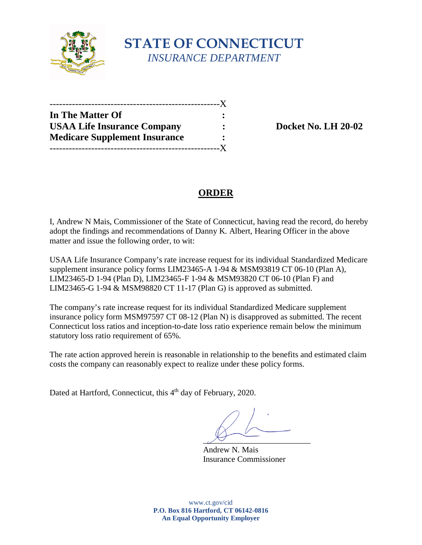

# **STATE OF CONNECTICUT** *INSURANCE DEPARTMENT*

| In The Matter Of                     |                |
|--------------------------------------|----------------|
| <b>USAA Life Insurance Company</b>   |                |
| <b>Medicare Supplement Insurance</b> | $\ddot{\cdot}$ |
|                                      | $-{\bf X}$     |

**Docket No. LH 20-02** 

# **ORDER**

I, Andrew N Mais, Commissioner of the State of Connecticut, having read the record, do hereby adopt the findings and recommendations of Danny K. Albert, Hearing Officer in the above matter and issue the following order, to wit:

USAA Life Insurance Company's rate increase request for its individual Standardized Medicare supplement insurance policy forms LIM23465-A 1-94 & MSM93819 CT 06-10 (Plan A), LIM23465-D 1-94 (Plan D), LIM23465-F 1-94 & MSM93820 CT 06-10 (Plan F) and LIM23465-G 1-94 & MSM98820 CT 11-17 (Plan G) is approved as submitted.

The company's rate increase request for its individual Standardized Medicare supplement insurance policy form MSM97597 CT 08-12 (Plan N) is disapproved as submitted. The recent Connecticut loss ratios and inception-to-date loss ratio experience remain below the minimum statutory loss ratio requirement of 65%.

The rate action approved herein is reasonable in relationship to the benefits and estimated claim costs the company can reasonably expect to realize under these policy forms.

Dated at Hartford, Connecticut, this 4<sup>th</sup> day of February, 2020.

 $\overline{\mathcal{P}}$ 

Andrew N. Mais Insurance Commissioner

www.ct.gov/cid **P.O. Box 816 Hartford, CT 06142-0816 An Equal Opportunity Employer**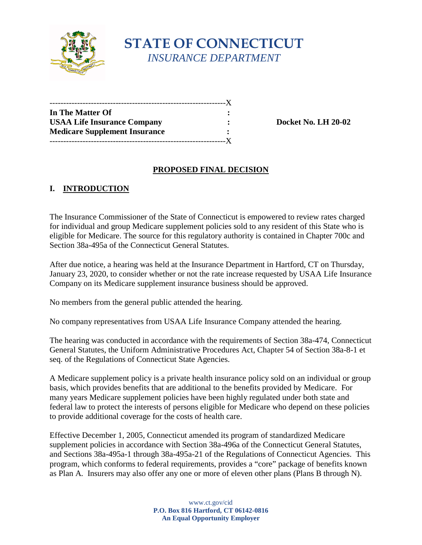

# **STATE OF CONNECTICUT** *INSURANCE DEPARTMENT*

| In The Matter Of                     |  |
|--------------------------------------|--|
| <b>USAA Life Insurance Company</b>   |  |
| <b>Medicare Supplement Insurance</b> |  |
|                                      |  |

**Docket No. LH 20-02** 

#### **PROPOSED FINAL DECISION**

## **I. INTRODUCTION**

The Insurance Commissioner of the State of Connecticut is empowered to review rates charged for individual and group Medicare supplement policies sold to any resident of this State who is eligible for Medicare. The source for this regulatory authority is contained in Chapter 700c and Section 38a-495a of the Connecticut General Statutes.

After due notice, a hearing was held at the Insurance Department in Hartford, CT on Thursday, January 23, 2020, to consider whether or not the rate increase requested by USAA Life Insurance Company on its Medicare supplement insurance business should be approved.

No members from the general public attended the hearing.

No company representatives from USAA Life Insurance Company attended the hearing.

The hearing was conducted in accordance with the requirements of Section 38a-474, Connecticut General Statutes, the Uniform Administrative Procedures Act, Chapter 54 of Section 38a-8-1 et seq. of the Regulations of Connecticut State Agencies.

A Medicare supplement policy is a private health insurance policy sold on an individual or group basis, which provides benefits that are additional to the benefits provided by Medicare. For many years Medicare supplement policies have been highly regulated under both state and federal law to protect the interests of persons eligible for Medicare who depend on these policies to provide additional coverage for the costs of health care.

Effective December 1, 2005, Connecticut amended its program of standardized Medicare supplement policies in accordance with Section 38a-496a of the Connecticut General Statutes, and Sections 38a-495a-1 through 38a-495a-21 of the Regulations of Connecticut Agencies. This program, which conforms to federal requirements, provides a "core" package of benefits known as Plan A. Insurers may also offer any one or more of eleven other plans (Plans B through N).

> www.ct.gov/cid **P.O. Box 816 Hartford, CT 06142-0816 An Equal Opportunity Employer**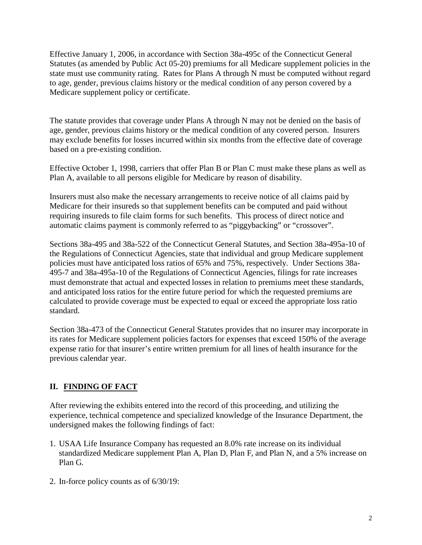Effective January 1, 2006, in accordance with Section 38a-495c of the Connecticut General Statutes (as amended by Public Act 05-20) premiums for all Medicare supplement policies in the state must use community rating. Rates for Plans A through N must be computed without regard to age, gender, previous claims history or the medical condition of any person covered by a Medicare supplement policy or certificate.

The statute provides that coverage under Plans A through N may not be denied on the basis of age, gender, previous claims history or the medical condition of any covered person. Insurers may exclude benefits for losses incurred within six months from the effective date of coverage based on a pre-existing condition.

Effective October 1, 1998, carriers that offer Plan B or Plan C must make these plans as well as Plan A, available to all persons eligible for Medicare by reason of disability.

Insurers must also make the necessary arrangements to receive notice of all claims paid by Medicare for their insureds so that supplement benefits can be computed and paid without requiring insureds to file claim forms for such benefits. This process of direct notice and automatic claims payment is commonly referred to as "piggybacking" or "crossover".

Sections 38a-495 and 38a-522 of the Connecticut General Statutes, and Section 38a-495a-10 of the Regulations of Connecticut Agencies, state that individual and group Medicare supplement policies must have anticipated loss ratios of 65% and 75%, respectively. Under Sections 38a-495-7 and 38a-495a-10 of the Regulations of Connecticut Agencies, filings for rate increases must demonstrate that actual and expected losses in relation to premiums meet these standards, and anticipated loss ratios for the entire future period for which the requested premiums are calculated to provide coverage must be expected to equal or exceed the appropriate loss ratio standard.

Section 38a-473 of the Connecticut General Statutes provides that no insurer may incorporate in its rates for Medicare supplement policies factors for expenses that exceed 150% of the average expense ratio for that insurer's entire written premium for all lines of health insurance for the previous calendar year.

## **II. FINDING OF FACT**

After reviewing the exhibits entered into the record of this proceeding, and utilizing the experience, technical competence and specialized knowledge of the Insurance Department, the undersigned makes the following findings of fact:

- 1. USAA Life Insurance Company has requested an 8.0% rate increase on its individual standardized Medicare supplement Plan A, Plan D, Plan F, and Plan N, and a 5% increase on Plan G.
- 2. In-force policy counts as of 6/30/19: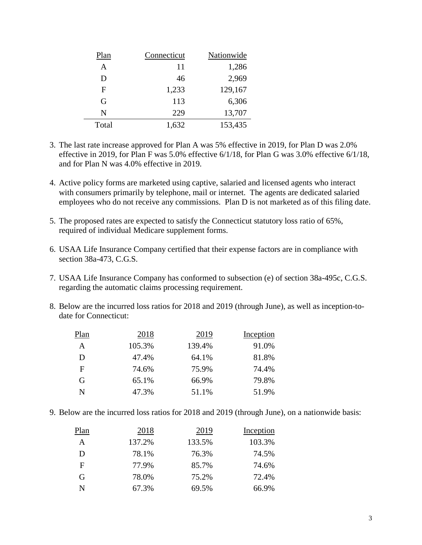| Plan  | Connecticut | Nationwide |
|-------|-------------|------------|
| A     | 11          | 1,286      |
| D     | 46          | 2,969      |
| F     | 1,233       | 129,167    |
| G     | 113         | 6,306      |
| N     | 229         | 13,707     |
| Total | 1,632       | 153,435    |

- 3. The last rate increase approved for Plan A was 5% effective in 2019, for Plan D was 2.0% effective in 2019, for Plan F was 5.0% effective 6/1/18, for Plan G was 3.0% effective 6/1/18, and for Plan N was 4.0% effective in 2019.
- 4. Active policy forms are marketed using captive, salaried and licensed agents who interact with consumers primarily by telephone, mail or internet. The agents are dedicated salaried employees who do not receive any commissions. Plan D is not marketed as of this filing date.
- 5. The proposed rates are expected to satisfy the Connecticut statutory loss ratio of 65%, required of individual Medicare supplement forms.
- 6. USAA Life Insurance Company certified that their expense factors are in compliance with section 38a-473, C.G.S.
- 7. USAA Life Insurance Company has conformed to subsection (e) of section 38a-495c, C.G.S. regarding the automatic claims processing requirement.
- 8. Below are the incurred loss ratios for 2018 and 2019 (through June), as well as inception-todate for Connecticut:

| Plan | 2018   | 2019   | Inception |
|------|--------|--------|-----------|
| A    | 105.3% | 139.4% | 91.0%     |
| D    | 47.4%  | 64.1%  | 81.8%     |
| F    | 74.6%  | 75.9%  | 74.4%     |
| G    | 65.1%  | 66.9%  | 79.8%     |
| N    | 47.3%  | 51.1%  | 51.9%     |

9. Below are the incurred loss ratios for 2018 and 2019 (through June), on a nationwide basis:

| Plan | 2018   | 2019   | Inception |
|------|--------|--------|-----------|
| A    | 137.2% | 133.5% | 103.3%    |
| D    | 78.1%  | 76.3%  | 74.5%     |
| F    | 77.9%  | 85.7%  | 74.6%     |
| G    | 78.0%  | 75.2%  | 72.4%     |
| N    | 67.3%  | 69.5%  | 66.9%     |